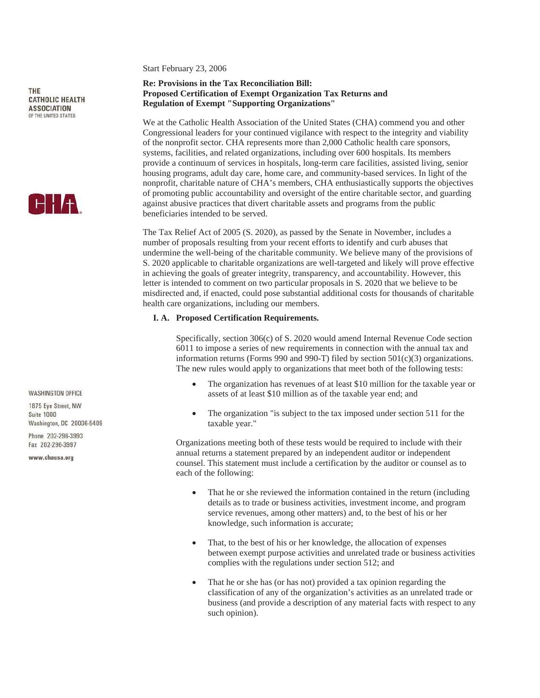Start February 23, 2006

# **Re: Provisions in the Tax Reconciliation Bill: Proposed Certification of Exempt Organization Tax Returns and Regulation of Exempt "Supporting Organizations"**

We at the Catholic Health Association of the United States (CHA) commend you and other Congressional leaders for your continued vigilance with respect to the integrity and viability of the nonprofit sector. CHA represents more than 2,000 Catholic health care sponsors, systems, facilities, and related organizations, including over 600 hospitals. Its members provide a continuum of services in hospitals, long-term care facilities, assisted living, senior housing programs, adult day care, home care, and community-based services. In light of the nonprofit, charitable nature of CHA's members, CHA enthusiastically supports the objectives of promoting public accountability and oversight of the entire charitable sector, and guarding against abusive practices that divert charitable assets and programs from the public beneficiaries intended to be served.

The Tax Relief Act of 2005 (S. 2020), as passed by the Senate in November, includes a number of proposals resulting from your recent efforts to identify and curb abuses that undermine the well-being of the charitable community. We believe many of the provisions of S. 2020 applicable to charitable organizations are well-targeted and likely will prove effective in achieving the goals of greater integrity, transparency, and accountability. However, this letter is intended to comment on two particular proposals in S. 2020 that we believe to be misdirected and, if enacted, could pose substantial additional costs for thousands of charitable health care organizations, including our members.

#### **I. A. Proposed Certification Requirements.**

 Specifically, section 306(c) of S. 2020 would amend Internal Revenue Code section 6011 to impose a series of new requirements in connection with the annual tax and information returns (Forms 990 and 990-T) filed by section 501(c)(3) organizations. The new rules would apply to organizations that meet both of the following tests:

- The organization has revenues of at least \$10 million for the taxable year or assets of at least \$10 million as of the taxable year end; and
- The organization "is subject to the tax imposed under section 511 for the taxable year."

Organizations meeting both of these tests would be required to include with their annual returns a statement prepared by an independent auditor or independent counsel. This statement must include a certification by the auditor or counsel as to each of the following:

- That he or she reviewed the information contained in the return (including details as to trade or business activities, investment income, and program service revenues, among other matters) and, to the best of his or her knowledge, such information is accurate;
- That, to the best of his or her knowledge, the allocation of expenses between exempt purpose activities and unrelated trade or business activities complies with the regulations under section 512; and
- That he or she has (or has not) provided a tax opinion regarding the classification of any of the organization's activities as an unrelated trade or business (and provide a description of any material facts with respect to any such opinion).

**WASHINGTON OFFICE** 

1875 Eve Street NW Suite 1000 Washington, DC 20006-5409

Phone 202-296-3993 Fax 202-296-3997

www.chausa.org



**CATHOLIC HEALTH ASSOCIATION** OF THE UNITED STATES

THE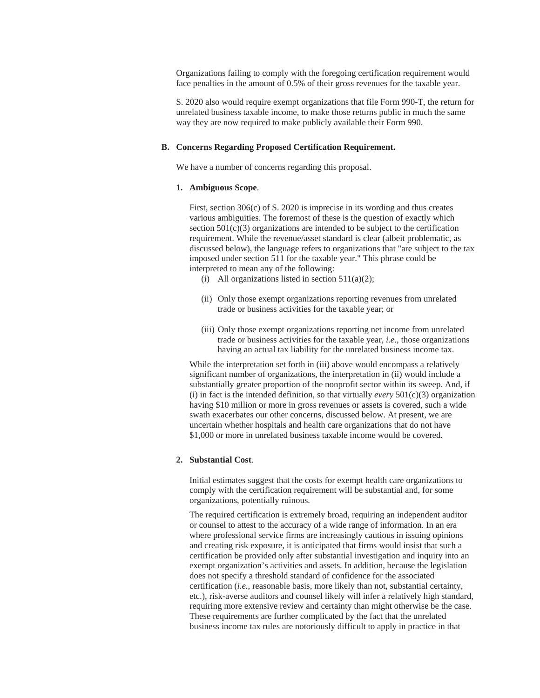Organizations failing to comply with the foregoing certification requirement would face penalties in the amount of 0.5% of their gross revenues for the taxable year.

S. 2020 also would require exempt organizations that file Form 990-T, the return for unrelated business taxable income, to make those returns public in much the same way they are now required to make publicly available their Form 990.

## **B. Concerns Regarding Proposed Certification Requirement.**

We have a number of concerns regarding this proposal.

#### **1. Ambiguous Scope**.

 First, section 306(c) of S. 2020 is imprecise in its wording and thus creates various ambiguities. The foremost of these is the question of exactly which section  $501(c)(3)$  organizations are intended to be subject to the certification requirement. While the revenue/asset standard is clear (albeit problematic, as discussed below), the language refers to organizations that "are subject to the tax imposed under section 511 for the taxable year." This phrase could be interpreted to mean any of the following:

- (i) All organizations listed in section  $511(a)(2)$ ;
- (ii) Only those exempt organizations reporting revenues from unrelated trade or business activities for the taxable year; or
- (iii) Only those exempt organizations reporting net income from unrelated trade or business activities for the taxable year, *i.e.*, those organizations having an actual tax liability for the unrelated business income tax.

While the interpretation set forth in (iii) above would encompass a relatively significant number of organizations, the interpretation in (ii) would include a substantially greater proportion of the nonprofit sector within its sweep. And, if (i) in fact is the intended definition, so that virtually *every* 501(c)(3) organization having \$10 million or more in gross revenues or assets is covered, such a wide swath exacerbates our other concerns, discussed below. At present, we are uncertain whether hospitals and health care organizations that do not have \$1,000 or more in unrelated business taxable income would be covered.

## **2. Substantial Cost**.

 Initial estimates suggest that the costs for exempt health care organizations to comply with the certification requirement will be substantial and, for some organizations, potentially ruinous.

The required certification is extremely broad, requiring an independent auditor or counsel to attest to the accuracy of a wide range of information. In an era where professional service firms are increasingly cautious in issuing opinions and creating risk exposure, it is anticipated that firms would insist that such a certification be provided only after substantial investigation and inquiry into an exempt organization's activities and assets. In addition, because the legislation does not specify a threshold standard of confidence for the associated certification (*i.e.*, reasonable basis, more likely than not, substantial certainty, etc.), risk-averse auditors and counsel likely will infer a relatively high standard, requiring more extensive review and certainty than might otherwise be the case. These requirements are further complicated by the fact that the unrelated business income tax rules are notoriously difficult to apply in practice in that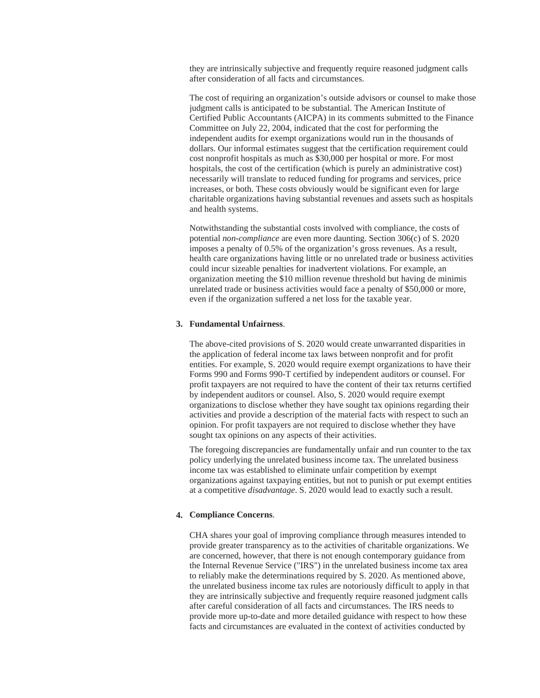they are intrinsically subjective and frequently require reasoned judgment calls after consideration of all facts and circumstances.

The cost of requiring an organization's outside advisors or counsel to make those judgment calls is anticipated to be substantial. The American Institute of Certified Public Accountants (AICPA) in its comments submitted to the Finance Committee on July 22, 2004, indicated that the cost for performing the independent audits for exempt organizations would run in the thousands of dollars. Our informal estimates suggest that the certification requirement could cost nonprofit hospitals as much as \$30,000 per hospital or more. For most hospitals, the cost of the certification (which is purely an administrative cost) necessarily will translate to reduced funding for programs and services, price increases, or both. These costs obviously would be significant even for large charitable organizations having substantial revenues and assets such as hospitals and health systems.

Notwithstanding the substantial costs involved with compliance, the costs of potential *non-compliance* are even more daunting. Section 306(c) of S. 2020 imposes a penalty of 0.5% of the organization's gross revenues. As a result, health care organizations having little or no unrelated trade or business activities could incur sizeable penalties for inadvertent violations. For example, an organization meeting the \$10 million revenue threshold but having de minimis unrelated trade or business activities would face a penalty of \$50,000 or more, even if the organization suffered a net loss for the taxable year.

#### **3. Fundamental Unfairness**.

 The above-cited provisions of S. 2020 would create unwarranted disparities in the application of federal income tax laws between nonprofit and for profit entities. For example, S. 2020 would require exempt organizations to have their Forms 990 and Forms 990-T certified by independent auditors or counsel. For profit taxpayers are not required to have the content of their tax returns certified by independent auditors or counsel. Also, S. 2020 would require exempt organizations to disclose whether they have sought tax opinions regarding their activities and provide a description of the material facts with respect to such an opinion. For profit taxpayers are not required to disclose whether they have sought tax opinions on any aspects of their activities.

The foregoing discrepancies are fundamentally unfair and run counter to the tax policy underlying the unrelated business income tax. The unrelated business income tax was established to eliminate unfair competition by exempt organizations against taxpaying entities, but not to punish or put exempt entities at a competitive *disadvantage*. S. 2020 would lead to exactly such a result.

## **4. Compliance Concerns**.

 CHA shares your goal of improving compliance through measures intended to provide greater transparency as to the activities of charitable organizations. We are concerned, however, that there is not enough contemporary guidance from the Internal Revenue Service ("IRS") in the unrelated business income tax area to reliably make the determinations required by S. 2020. As mentioned above, the unrelated business income tax rules are notoriously difficult to apply in that they are intrinsically subjective and frequently require reasoned judgment calls after careful consideration of all facts and circumstances. The IRS needs to provide more up-to-date and more detailed guidance with respect to how these facts and circumstances are evaluated in the context of activities conducted by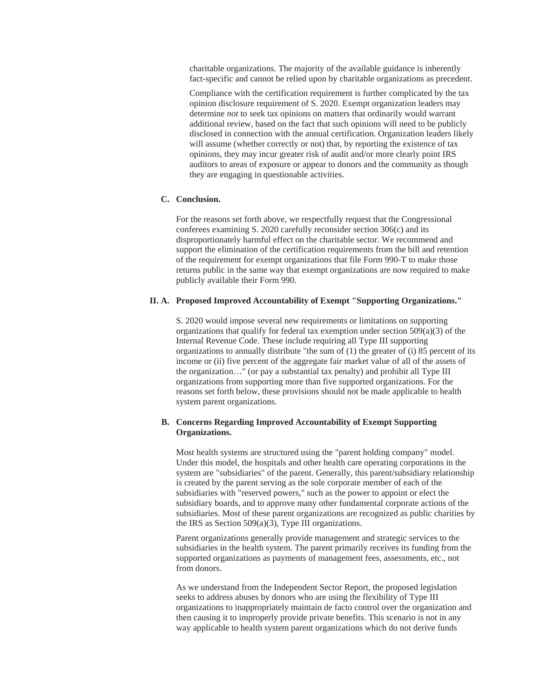charitable organizations. The majority of the available guidance is inherently fact-specific and cannot be relied upon by charitable organizations as precedent.

Compliance with the certification requirement is further complicated by the tax opinion disclosure requirement of S. 2020. Exempt organization leaders may determine *not* to seek tax opinions on matters that ordinarily would warrant additional review, based on the fact that such opinions will need to be publicly disclosed in connection with the annual certification. Organization leaders likely will assume (whether correctly or not) that, by reporting the existence of tax opinions, they may incur greater risk of audit and/or more clearly point IRS auditors to areas of exposure or appear to donors and the community as though they are engaging in questionable activities.

## **C. Conclusion.**

 For the reasons set forth above, we respectfully request that the Congressional conferees examining S. 2020 carefully reconsider section 306(c) and its disproportionately harmful effect on the charitable sector. We recommend and support the elimination of the certification requirements from the bill and retention of the requirement for exempt organizations that file Form 990-T to make those returns public in the same way that exempt organizations are now required to make publicly available their Form 990.

# **II. A. Proposed Improved Accountability of Exempt "Supporting Organizations."**

 S. 2020 would impose several new requirements or limitations on supporting organizations that qualify for federal tax exemption under section 509(a)(3) of the Internal Revenue Code. These include requiring all Type III supporting organizations to annually distribute "the sum of  $(1)$  the greater of  $(i)$  85 percent of its income or (ii) five percent of the aggregate fair market value of all of the assets of the organization…" (or pay a substantial tax penalty) and prohibit all Type III organizations from supporting more than five supported organizations. For the reasons set forth below, these provisions should not be made applicable to health system parent organizations.

# **B. Concerns Regarding Improved Accountability of Exempt Supporting Organizations.**

 Most health systems are structured using the "parent holding company" model. Under this model, the hospitals and other health care operating corporations in the system are "subsidiaries" of the parent. Generally, this parent/subsidiary relationship is created by the parent serving as the sole corporate member of each of the subsidiaries with "reserved powers," such as the power to appoint or elect the subsidiary boards, and to approve many other fundamental corporate actions of the subsidiaries. Most of these parent organizations are recognized as public charities by the IRS as Section 509(a)(3), Type III organizations.

Parent organizations generally provide management and strategic services to the subsidiaries in the health system. The parent primarily receives its funding from the supported organizations as payments of management fees, assessments, etc., not from donors.

As we understand from the Independent Sector Report, the proposed legislation seeks to address abuses by donors who are using the flexibility of Type III organizations to inappropriately maintain de facto control over the organization and then causing it to improperly provide private benefits. This scenario is not in any way applicable to health system parent organizations which do not derive funds